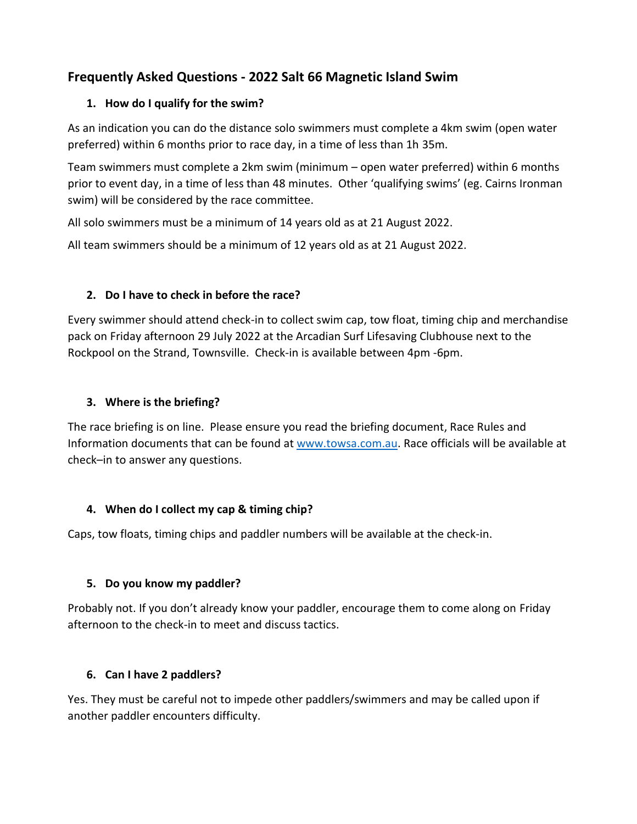# **Frequently Asked Questions - 2022 Salt 66 Magnetic Island Swim**

### **1. How do I qualify for the swim?**

As an indication you can do the distance solo swimmers must complete a 4km swim (open water preferred) within 6 months prior to race day, in a time of less than 1h 35m.

Team swimmers must complete a 2km swim (minimum – open water preferred) within 6 months prior to event day, in a time of less than 48 minutes. Other 'qualifying swims' (eg. Cairns Ironman swim) will be considered by the race committee.

All solo swimmers must be a minimum of 14 years old as at 21 August 2022.

All team swimmers should be a minimum of 12 years old as at 21 August 2022.

## **2. Do I have to check in before the race?**

Every swimmer should attend check-in to collect swim cap, tow float, timing chip and merchandise pack on Friday afternoon 29 July 2022 at the Arcadian Surf Lifesaving Clubhouse next to the Rockpool on the Strand, Townsville. Check-in is available between 4pm -6pm.

### **3. Where is the briefing?**

The race briefing is on line. Please ensure you read the briefing document, Race Rules and Information documents that can be found at [www.towsa.com.au.](http://www.towsa.com.au/) Race officials will be available at check–in to answer any questions.

### **4. When do I collect my cap & timing chip?**

Caps, tow floats, timing chips and paddler numbers will be available at the check-in.

### **5. Do you know my paddler?**

Probably not. If you don't already know your paddler, encourage them to come along on Friday afternoon to the check-in to meet and discuss tactics.

## **6. Can I have 2 paddlers?**

Yes. They must be careful not to impede other paddlers/swimmers and may be called upon if another paddler encounters difficulty.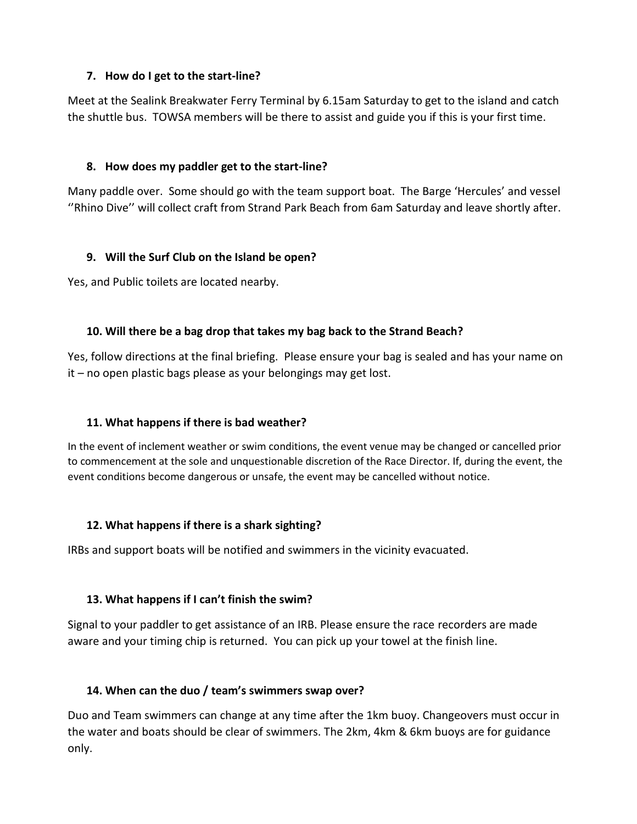#### **7. How do I get to the start-line?**

Meet at the Sealink Breakwater Ferry Terminal by 6.15am Saturday to get to the island and catch the shuttle bus. TOWSA members will be there to assist and guide you if this is your first time.

### **8. How does my paddler get to the start-line?**

Many paddle over. Some should go with the team support boat. The Barge 'Hercules' and vessel ''Rhino Dive'' will collect craft from Strand Park Beach from 6am Saturday and leave shortly after.

### **9. Will the Surf Club on the Island be open?**

Yes, and Public toilets are located nearby.

### **10. Will there be a bag drop that takes my bag back to the Strand Beach?**

Yes, follow directions at the final briefing. Please ensure your bag is sealed and has your name on it – no open plastic bags please as your belongings may get lost.

### **11. What happens if there is bad weather?**

In the event of inclement weather or swim conditions, the event venue may be changed or cancelled prior to commencement at the sole and unquestionable discretion of the Race Director. If, during the event, the event conditions become dangerous or unsafe, the event may be cancelled without notice.

### **12. What happens if there is a shark sighting?**

IRBs and support boats will be notified and swimmers in the vicinity evacuated.

## **13. What happens if I can't finish the swim?**

Signal to your paddler to get assistance of an IRB. Please ensure the race recorders are made aware and your timing chip is returned. You can pick up your towel at the finish line.

## **14. When can the duo / team's swimmers swap over?**

Duo and Team swimmers can change at any time after the 1km buoy. Changeovers must occur in the water and boats should be clear of swimmers. The 2km, 4km & 6km buoys are for guidance only.